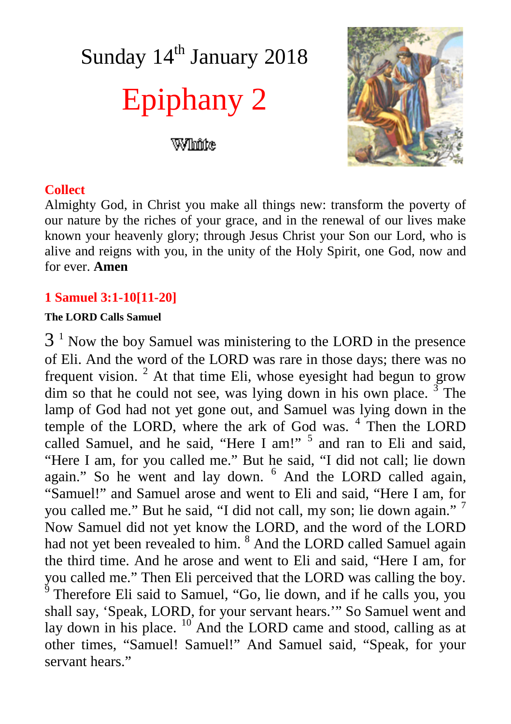# Sunday 14<sup>th</sup> January 2018 Epiphany 2

White



## **Collect**

Almighty God, in Christ you make all things new: transform the poverty of our nature by the riches of your grace, and in the renewal of our lives make known your heavenly glory; through Jesus Christ your Son our Lord, who is alive and reigns with you, in the unity of the Holy Spirit, one God, now and for ever. **Amen**

## **1 Samuel 3:1-10[11-20]**

#### **The LORD Calls Samuel**

 $3<sup>1</sup>$  Now the boy Samuel was ministering to the LORD in the presence of Eli. And the word of the LORD was rare in those days; there was no frequent vision.  $2$  At that time Eli, whose eyesight had begun to grow dim so that he could not see, was lying down in his own place.  $3^{\circ}$  The lamp of God had not yet gone out, and Samuel was lying down in the temple of the LORD, where the ark of God was.<sup>4</sup> Then the LORD called Samuel, and he said, "Here I am!" <sup>5</sup> and ran to Eli and said, "Here I am, for you called me." But he said, "I did not call; lie down again." So he went and lay down. <sup>6</sup> And the LORD called again, "Samuel!" and Samuel arose and went to Eli and said, "Here I am, for you called me." But he said, "I did not call, my son; lie down again." <sup>7</sup> Now Samuel did not yet know the LORD, and the word of the LORD had not yet been revealed to him. <sup>8</sup> And the LORD called Samuel again the third time. And he arose and went to Eli and said, "Here I am, for you called me." Then Eli perceived that the LORD was calling the boy. 9 Therefore Eli said to Samuel, "Go, lie down, and if he calls you, you shall say, 'Speak, LORD, for your servant hears.'" So Samuel went and lay down in his place. <sup>10</sup> And the LORD came and stood, calling as at other times, "Samuel! Samuel!" And Samuel said, "Speak, for your servant hears."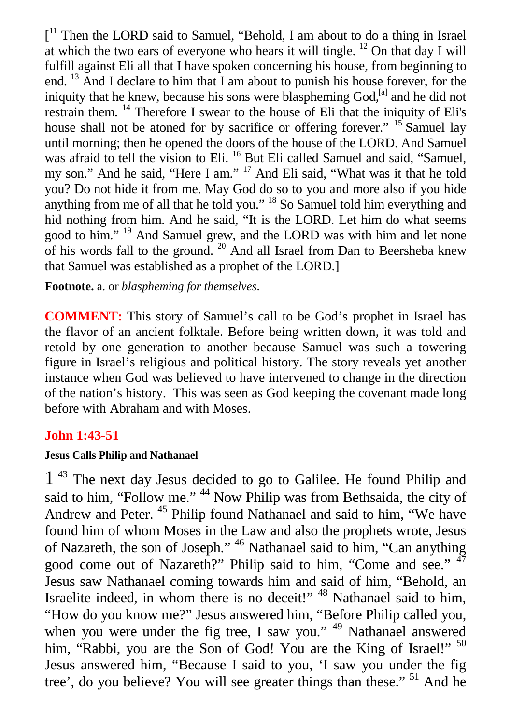[<sup>11</sup> Then the LORD said to Samuel, "Behold, I am about to do a thing in Israel at which the two ears of everyone who hears it will tingle. <sup>12</sup> On that day I will fulfill against Eli all that I have spoken concerning his house, from beginning to end. <sup>13</sup> And I declare to him that I am about to punish his house forever, for the iniquity that he knew, because his sons were blaspheming  $God<sub>i</sub><sup>[a]</sup>$  and he did not restrain them. <sup>14</sup> Therefore I swear to the house of Eli that the iniquity of Eli's house shall not be atoned for by sacrifice or offering forever." <sup>15</sup> Samuel lay until morning; then he opened the doors of the house of the LORD. And Samuel was afraid to tell the vision to Eli.<sup>16</sup> But Eli called Samuel and said, "Samuel, my son." And he said, "Here I am." <sup>17</sup> And Eli said, "What was it that he told you? Do not hide it from me. May God do so to you and more also if you hide anything from me of all that he told you." <sup>18</sup> So Samuel told him everything and hid nothing from him. And he said, "It is the LORD. Let him do what seems good to him." <sup>19</sup> And Samuel grew, and the LORD was with him and let none of his words fall to the ground.  $20$  And all Israel from Dan to Beersheba knew that Samuel was established as a prophet of the LORD.]

**Footnote.** a. or *blaspheming for themselves*.

**COMMENT:** This story of Samuel's call to be God's prophet in Israel has the flavor of an ancient folktale. Before being written down, it was told and retold by one generation to another because Samuel was such a towering figure in Israel's religious and political history. The story reveals yet another instance when God was believed to have intervened to change in the direction of the nation's history. This was seen as God keeping the covenant made long before with Abraham and with Moses.

## **John 1:43-51**

#### **Jesus Calls Philip and Nathanael**

1<sup>43</sup> The next day Jesus decided to go to Galilee. He found Philip and said to him, "Follow me."<sup>44</sup> Now Philip was from Bethsaida, the city of Andrew and Peter. <sup>45</sup> Philip found Nathanael and said to him, "We have found him of whom Moses in the Law and also the prophets wrote, Jesus of Nazareth, the son of Joseph." <sup>46</sup> Nathanael said to him, "Can anything good come out of Nazareth?" Philip said to him, "Come and see." <sup>47</sup> Jesus saw Nathanael coming towards him and said of him, "Behold, an Israelite indeed, in whom there is no deceit!" <sup>48</sup> Nathanael said to him, "How do you know me?" Jesus answered him, "Before Philip called you, when you were under the fig tree, I saw you." <sup>49</sup> Nathanael answered him, "Rabbi, you are the Son of God! You are the King of Israel!" <sup>50</sup> Jesus answered him, "Because I said to you, 'I saw you under the fig tree', do you believe? You will see greater things than these." <sup>51</sup> And he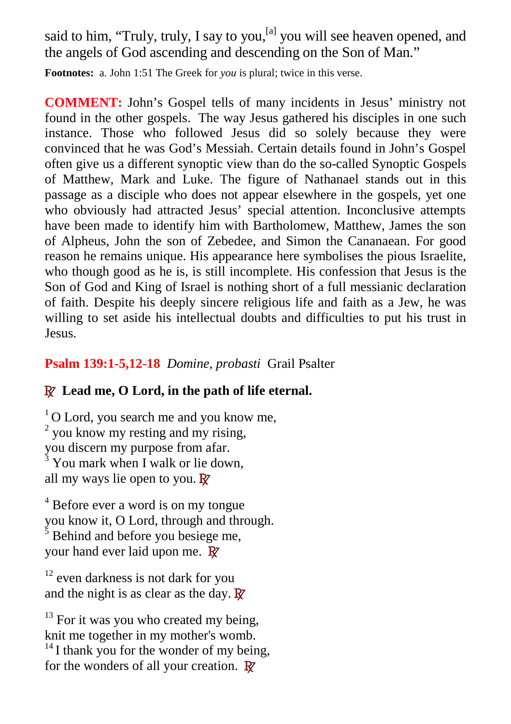said to him, "Truly, truly, I say to you,  $[a]$  you will see heaven opened, and the angels of God ascending and descending on the Son of Man."

**Footnotes:** a. John 1:51 The Greek for *you* is plural; twice in this verse.

**COMMENT:** John's Gospel tells of many incidents in Jesus' ministry not found in the other gospels. The way Jesus gathered his disciples in one such instance. Those who followed Jesus did so solely because they were convinced that he was God's Messiah. Certain details found in John's Gospel often give us a different synoptic view than do the so-called Synoptic Gospels of Matthew, Mark and Luke. The figure of Nathanael stands out in this passage as a disciple who does not appear elsewhere in the gospels, yet one who obviously had attracted Jesus' special attention. Inconclusive attempts have been made to identify him with Bartholomew, Matthew, James the son of Alpheus, John the son of Zebedee, and Simon the Cananaean. For good reason he remains unique. His appearance here symbolises the pious Israelite, who though good as he is, is still incomplete. His confession that Jesus is the Son of God and King of Israel is nothing short of a full messianic declaration of faith. Despite his deeply sincere religious life and faith as a Jew, he was willing to set aside his intellectual doubts and difficulties to put his trust in Jesus.

# **Psalm 139:1-5,12-18** *Domine, probasti* Grail Psalter

# **R Lead me, O Lord, in the path of life eternal.**

 $1$ O Lord, you search me and you know me,  $2$  you know my resting and my rising, you discern my purpose from afar. 3 You mark when I walk or lie down, all my ways lie open to you. **R**

<sup>4</sup> Before ever a word is on my tongue you know it, O Lord, through and through. 5

 Behind and before you besiege me, your hand ever laid upon me. **R**

 $12$  even darkness is not dark for you and the night is as clear as the day. **R**

 $13$  For it was you who created my being, knit me together in my mother's womb.

 $14$  I thank you for the wonder of my being, for the wonders of all your creation. **R**